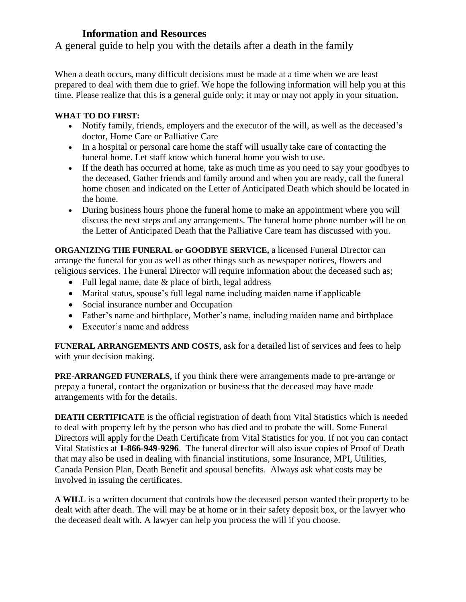## **Information and Resources**

A general guide to help you with the details after a death in the family

When a death occurs, many difficult decisions must be made at a time when we are least prepared to deal with them due to grief. We hope the following information will help you at this time. Please realize that this is a general guide only; it may or may not apply in your situation.

## **WHAT TO DO FIRST:**

- Notify family, friends, employers and the executor of the will, as well as the deceased's doctor, Home Care or Palliative Care
- In a hospital or personal care home the staff will usually take care of contacting the [funeral home.](http://www.gov.mb.ca/funeraldirectorsboard/homes.html) Let staff know which funeral home you wish to use.
- If the death has occurred at home, take as much time as you need to say your goodbyes to the deceased. Gather friends and family around and when you are ready, call the funeral home chosen and indicated on the Letter of Anticipated Death which should be located in the home.
- During business hours phone the funeral home to make an appointment where you will discuss the next steps and any arrangements. The funeral home phone number will be on the Letter of Anticipated Death that the Palliative Care team has discussed with you.

**[ORGANIZING THE FUNERAL](http://www.gov.mb.ca/funeraldirectorsboard/directors.html) or GOODBYE SERVICE,** a licensed Funeral Director can arrange the funeral for you as well as other things such as newspaper notices, flowers and religious services. The Funeral Director will require information about the deceased such as;

- Full legal name, date & place of birth, legal address
- Marital status, spouse's full legal name including maiden name if applicable
- Social insurance number and Occupation
- Father's name and birthplace, Mother's name, including maiden name and birthplace
- Executor's name and address

**[FUNERAL ARRANGEMENTS AND COSTS,](http://www.gov.mb.ca/funeraldirectorsboard/faq.html)** ask for a detailed list of services and fees to help with your decision making.

**[PRE-ARRANGED FUNERALS,](http://pub.gov.mb.ca/pfsalicencees.html)** if you think there were arrangements made to pre-arrange or prepay a funeral, contact the organization or business that the deceased may have made arrangements with for the details.

**[DEATH CERTIFICATE](http://vitalstats.gov.mb.ca/pdf/application_death_certificate.pdf)** is the official registration of death from Vital Statistics which is needed to deal with property left by the person who has died and to probate the will. Some Funeral Directors will apply for the Death Certificate from Vital Statistics for you. If not you can contact Vital Statistics at **1-866-949-9296**. The funeral director will also issue copies of Proof of Death that may also be used in dealing with financial institutions, some Insurance, MPI, Utilities, Canada Pension Plan, Death Benefit and spousal benefits. Always ask what costs may be involved in issuing the certificates.

**A WILL** is a written document that controls how the deceased person wanted their property to be dealt with after death. The will may be at home or in their safety deposit box, or the lawyer who the deceased dealt with. A lawyer can help you process the will if you choose.